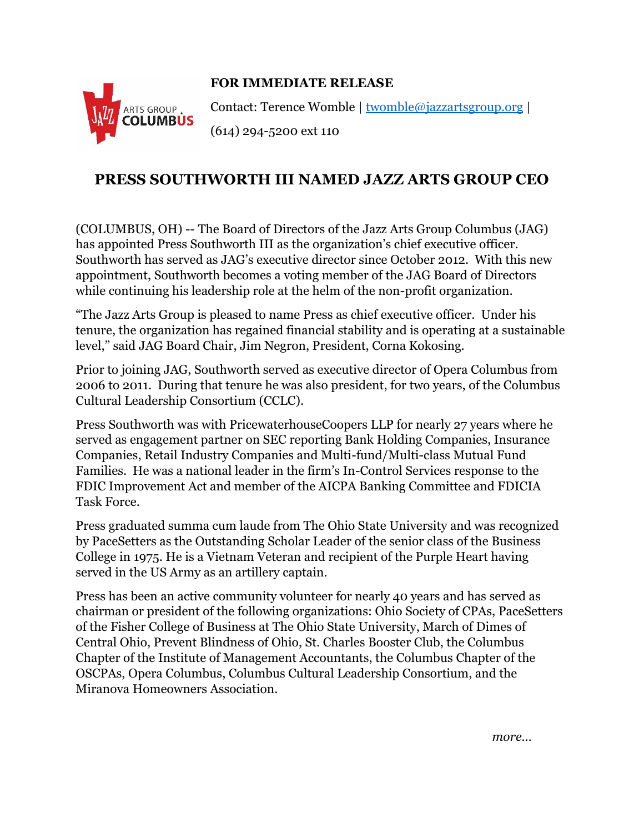## **FOR IMMEDIATE RELEASE**



Contact: Terence Womble | [twomble@jazzartsgroup.org](mailto:twomble@jazzartsgroup.org) | (614) 294-5200 ext 110

## **PRESS SOUTHWORTH III NAMED JAZZ ARTS GROUP CEO**

(COLUMBUS, OH) -- The Board of Directors of the Jazz Arts Group Columbus (JAG) has appointed Press Southworth III as the organization's chief executive officer. Southworth has served as JAG's executive director since October 2012. With this new appointment, Southworth becomes a voting member of the JAG Board of Directors while continuing his leadership role at the helm of the non-profit organization.

"The Jazz Arts Group is pleased to name Press as chief executive officer. Under his tenure, the organization has regained financial stability and is operating at a sustainable level," said JAG Board Chair, Jim Negron, President, Corna Kokosing.

Prior to joining JAG, Southworth served as executive director of Opera Columbus from 2006 to 2011. During that tenure he was also president, for two years, of the Columbus Cultural Leadership Consortium (CCLC).

Press Southworth was with PricewaterhouseCoopers LLP for nearly 27 years where he served as engagement partner on SEC reporting Bank Holding Companies, Insurance Companies, Retail Industry Companies and Multi-fund/Multi-class Mutual Fund Families. He was a national leader in the firm's In-Control Services response to the FDIC Improvement Act and member of the AICPA Banking Committee and FDICIA Task Force.

Press graduated summa cum laude from The Ohio State University and was recognized by PaceSetters as the Outstanding Scholar Leader of the senior class of the Business College in 1975. He is a Vietnam Veteran and recipient of the Purple Heart having served in the US Army as an artillery captain.

Press has been an active community volunteer for nearly 40 years and has served as chairman or president of the following organizations: Ohio Society of CPAs, PaceSetters of the Fisher College of Business at The Ohio State University, March of Dimes of Central Ohio, Prevent Blindness of Ohio, St. Charles Booster Club, the Columbus Chapter of the Institute of Management Accountants, the Columbus Chapter of the OSCPAs, Opera Columbus, Columbus Cultural Leadership Consortium, and the Miranova Homeowners Association.